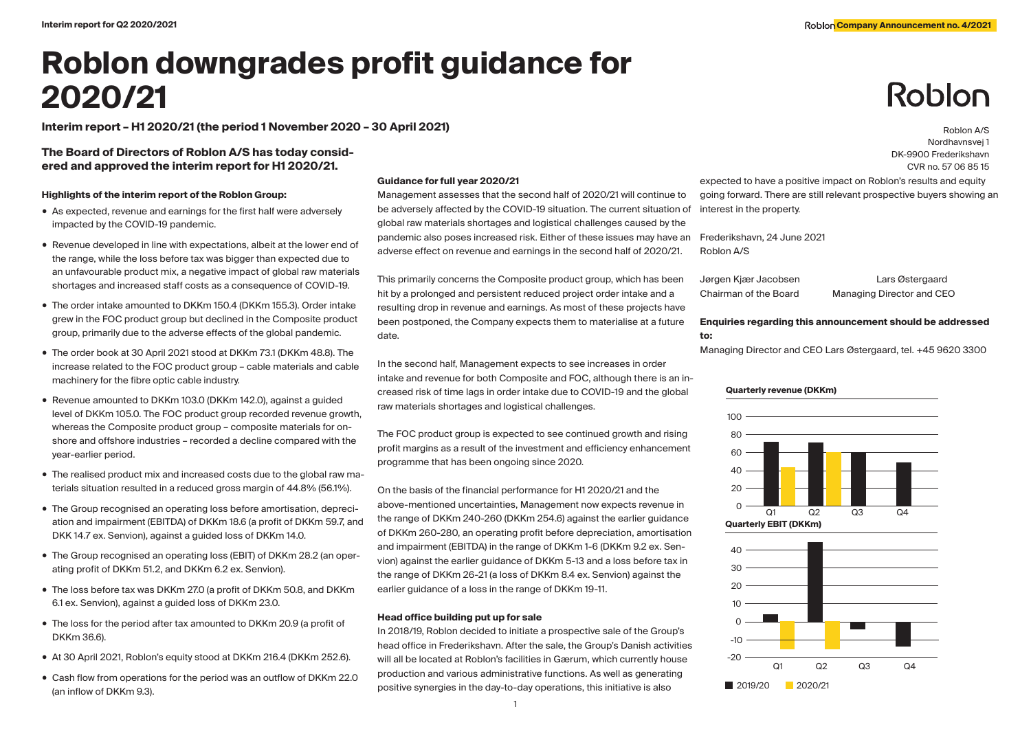# **Roblon downgrades profit guidance for 2020/21**

**Interim report – H1 2020/21 (the period 1 November 2020 – 30 April 2021)** Roblon A/S

## **The Board of Directors of Roblon A/S has today considered and approved the interim report for H1 2020/21.**

## **Highlights of the interim report of the Roblon Group:**

- As expected, revenue and earnings for the first half were adversely impacted by the COVID-19 pandemic.
- Revenue developed in line with expectations, albeit at the lower end of the range, while the loss before tax was bigger than expected due to an unfavourable product mix, a negative impact of global raw materials shortages and increased staff costs as a consequence of COVID-19.
- The order intake amounted to DKKm 150.4 (DKKm 155.3). Order intake grew in the FOC product group but declined in the Composite product group, primarily due to the adverse effects of the global pandemic.
- The order book at 30 April 2021 stood at DKKm 73.1 (DKKm 48.8). The increase related to the FOC product group – cable materials and cable machinery for the fibre optic cable industry.
- Revenue amounted to DKKm 103.0 (DKKm 142.0), against a guided level of DKKm 105.0. The FOC product group recorded revenue growth, whereas the Composite product group – composite materials for onshore and offshore industries – recorded a decline compared with the year-earlier period.
- The realised product mix and increased costs due to the global raw materials situation resulted in a reduced gross margin of 44.8% (56.1%).
- The Group recognised an operating loss before amortisation, depreciation and impairment (EBITDA) of DKKm 18.6 (a profit of DKKm 59.7, and DKK 14.7 ex. Senvion), against a guided loss of DKKm 14.0.
- The Group recognised an operating loss (EBIT) of DKKm 28.2 (an operating profit of DKKm 51.2, and DKKm 6.2 ex. Senvion).
- The loss before tax was DKKm 27.0 (a profit of DKKm 50.8, and DKKm 6.1 ex. Senvion), against a guided loss of DKKm 23.0.
- The loss for the period after tax amounted to DKKm 20.9 (a profit of DKKm 36.6).
- At 30 April 2021, Roblon's equity stood at DKKm 216.4 (DKKm 252.6).
- Cash flow from operations for the period was an outflow of DKKm 22.0 (an inflow of DKKm 9.3).

## **Guidance for full year 2020/21**

Management assesses that the second half of 2020/21 will continue to be adversely affected by the COVID-19 situation. The current situation of global raw materials shortages and logistical challenges caused by the pandemic also poses increased risk. Either of these issues may have an adverse effect on revenue and earnings in the second half of 2020/21.

This primarily concerns the Composite product group, which has been hit by a prolonged and persistent reduced project order intake and a resulting drop in revenue and earnings. As most of these projects have been postponed, the Company expects them to materialise at a future date.

In the second half, Management expects to see increases in order intake and revenue for both Composite and FOC, although there is an increased risk of time lags in order intake due to COVID-19 and the global raw materials shortages and logistical challenges.

The FOC product group is expected to see continued growth and rising profit margins as a result of the investment and efficiency enhancement programme that has been ongoing since 2020.

On the basis of the financial performance for H1 2020/21 and the above-mentioned uncertainties, Management now expects revenue in the range of DKKm 240-260 (DKKm 254.6) against the earlier guidance of DKKm 260-280, an operating profit before depreciation, amortisation and impairment (EBITDA) in the range of DKKm 1-6 (DKKm 9.2 ex. Senvion) against the earlier guidance of DKKm 5-13 and a loss before tax in the range of DKKm 26-21 (a loss of DKKm 8.4 ex. Senvion) against the earlier guidance of a loss in the range of DKKm 19-11.

## **Head office building put up for sale**

In 2018/19, Roblon decided to initiate a prospective sale of the Group's head office in Frederikshavn. After the sale, the Group's Danish activities will all be located at Roblon's facilities in Gærum, which currently house production and various administrative functions. As well as generating positive synergies in the day-to-day operations, this initiative is also

expected to have a positive impact on Roblon's results and equity going forward. There are still relevant prospective buyers showing an interest in the property.

Frederikshavn, 24 June 2021 Roblon A/S

Jørgen Kjær Jacobsen Lars Østergaard Chairman of the Board Managing Director and CEO

Nordhavnsvej 1 DK-9900 Frederikshavn CVR no. 57 06 85 15

Roblon

## **Enquiries regarding this announcement should be addressed to:**

Managing Director and CEO Lars Østergaard, tel. +45 9620 3300

## **Quarterly revenue (DKKm)**



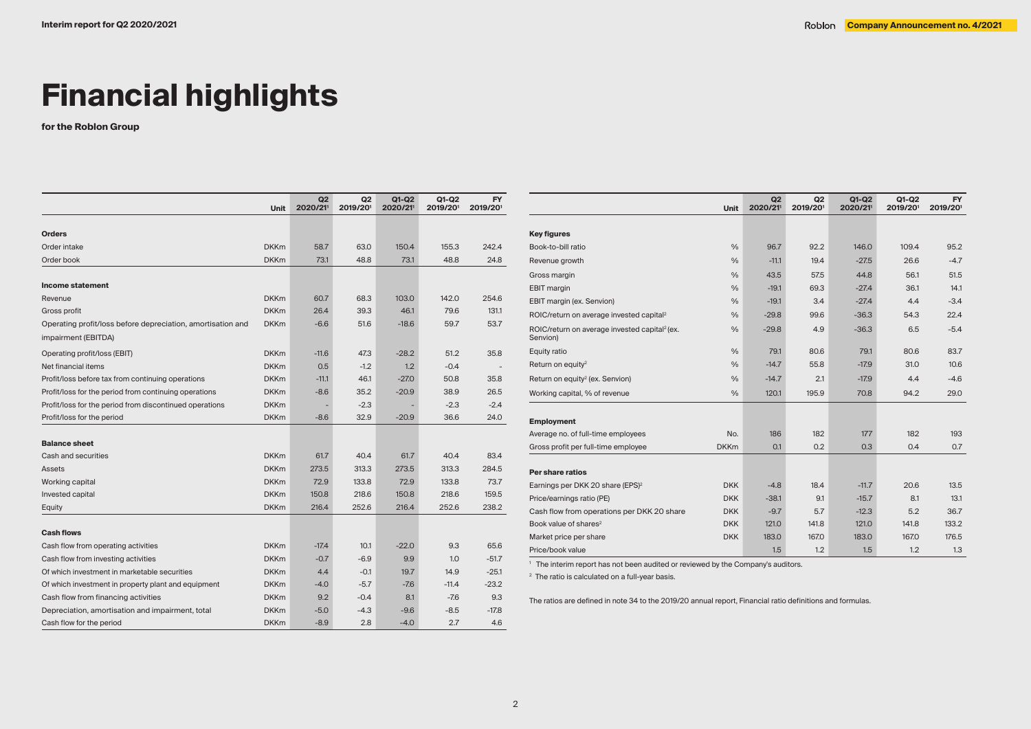# **Financial highlights**

**for the Roblon Group**

|                                                             | Unit        | Q2<br>2020/21 | Q <sub>2</sub><br>2019/201 | $Q1-Q2$<br>2020/21 | $Q1-Q2$<br>2019/201 | <b>FY</b><br>2019/201 |
|-------------------------------------------------------------|-------------|---------------|----------------------------|--------------------|---------------------|-----------------------|
|                                                             |             |               |                            |                    |                     |                       |
| <b>Orders</b>                                               |             |               |                            |                    |                     |                       |
| Order intake                                                | <b>DKKm</b> | 58.7          | 63.0                       | 150.4              | 155.3               | 242.4                 |
| Order book                                                  | <b>DKKm</b> | 73.1          | 48.8                       | 73.1               | 48.8                | 24.8                  |
| Income statement                                            |             |               |                            |                    |                     |                       |
| Revenue                                                     | <b>DKKm</b> | 60.7          | 68.3                       | 103.0              | 142.0               | 254.6                 |
| Gross profit                                                | <b>DKKm</b> | 26.4          | 39.3                       | 46.1               | 79.6                | 131.1                 |
| Operating profit/loss before depreciation, amortisation and | <b>DKKm</b> | $-6.6$        | 51.6                       | $-18.6$            | 59.7                | 53.7                  |
| impairment (EBITDA)                                         |             |               |                            |                    |                     |                       |
| Operating profit/loss (EBIT)                                | <b>DKKm</b> | $-11.6$       | 47.3                       | $-28.2$            | 51.2                | 35.8                  |
| Net financial items                                         | <b>DKKm</b> | 0.5           | $-1.2$                     | 1.2                | $-0.4$              |                       |
| Profit/loss before tax from continuing operations           | <b>DKKm</b> | $-11.1$       | 46.1                       | $-27.0$            | 50.8                | 35.8                  |
| Profit/loss for the period from continuing operations       | <b>DKKm</b> | $-8.6$        | 35.2                       | $-20.9$            | 38.9                | 26.5                  |
| Profit/loss for the period from discontinued operations     | <b>DKKm</b> |               | $-2.3$                     |                    | $-2.3$              | $-2.4$                |
| Profit/loss for the period                                  | <b>DKKm</b> | $-8.6$        | 32.9                       | $-20.9$            | 36.6                | 24.0                  |
|                                                             |             |               |                            |                    |                     |                       |
| <b>Balance sheet</b>                                        |             |               |                            |                    |                     |                       |
| Cash and securities                                         | <b>DKKm</b> | 61.7          | 40.4                       | 61.7               | 40.4                | 83.4                  |
| Assets                                                      | <b>DKKm</b> | 273.5         | 313.3                      | 273.5              | 313.3               | 284.5                 |
| Working capital                                             | <b>DKKm</b> | 72.9          | 133.8                      | 72.9               | 133.8               | 73.7                  |
| Invested capital                                            | <b>DKKm</b> | 150.8         | 218.6                      | 150.8              | 218.6               | 159.5                 |
| Equity                                                      | <b>DKKm</b> | 216.4         | 252.6                      | 216.4              | 252.6               | 238.2                 |
| <b>Cash flows</b>                                           |             |               |                            |                    |                     |                       |
| Cash flow from operating activities                         | <b>DKKm</b> | $-17.4$       | 10.1                       | $-22.0$            | 9.3                 | 65.6                  |
| Cash flow from investing activities                         | <b>DKKm</b> | $-0.7$        | $-6.9$                     | 9.9                | 1.0                 | $-51.7$               |
| Of which investment in marketable securities                | <b>DKKm</b> | 4.4           | $-0.1$                     | 19.7               | 14.9                | $-25.1$               |
| Of which investment in property plant and equipment         | <b>DKKm</b> | $-4.0$        | $-5.7$                     | $-7.6$             | $-11.4$             | $-23.2$               |
| Cash flow from financing activities                         | <b>DKKm</b> | 9.2           | $-0.4$                     | 8.1                | $-7.6$              | 9.3                   |
| Depreciation, amortisation and impairment, total            | <b>DKKm</b> | $-5.0$        | $-4.3$                     | $-9.6$             | $-8.5$              | $-17.8$               |
| Cash flow for the period                                    | <b>DKKm</b> | $-8.9$        | 2.8                        | $-4.0$             | 2.7                 | 4.6                   |

|                                                                       | Unit               | Q2<br>2020/21 | Q2<br>2019/201 | Q1-Q2<br>2020/21 | $Q1-Q2$<br>2019/201 | FY.<br>2019/201 |
|-----------------------------------------------------------------------|--------------------|---------------|----------------|------------------|---------------------|-----------------|
|                                                                       |                    |               |                |                  |                     |                 |
| <b>Key figures</b>                                                    |                    |               |                |                  |                     |                 |
| Book-to-bill ratio                                                    | $\frac{0}{0}$      | 96.7          | 92.2           | 146.0            | 109.4               | 95.2            |
| Revenue growth                                                        | $\frac{0}{0}$      | $-11.1$       | 19.4           | $-27.5$          | 26.6                | $-4.7$          |
| Gross margin                                                          | $\frac{0}{0}$      | 43.5          | 57.5           | 44.8             | 56.1                | 51.5            |
| <b>EBIT</b> margin                                                    | $\frac{0}{0}$      | $-19.1$       | 69.3           | $-27.4$          | 36.1                | 14.1            |
| EBIT margin (ex. Senvion)                                             | $\frac{0}{0}$      | $-19.1$       | 3.4            | $-27.4$          | 4.4                 | $-3.4$          |
| ROIC/return on average invested capital <sup>2</sup>                  | $\frac{0}{0}$      | $-29.8$       | 99.6           | $-36.3$          | 54.3                | 22.4            |
| ROIC/return on average invested capital <sup>2</sup> (ex.<br>Senvion) | $\frac{0}{0}$      | $-29.8$       | 4.9            | $-36.3$          | 6.5                 | $-5.4$          |
| Equity ratio                                                          | $\frac{0}{0}$      | 79.1          | 80.6           | 79.1             | 80.6                | 83.7            |
| Return on equity <sup>2</sup>                                         | $\frac{0}{0}$      | $-14.7$       | 55.8           | $-17.9$          | 31.0                | 10.6            |
| Return on equity <sup>2</sup> (ex. Senvion)                           | $\frac{0}{0}$      | $-14.7$       | 2.1            | $-17.9$          | 4.4                 | $-4.6$          |
| Working capital, % of revenue                                         | $\frac{0}{0}$      | 120.1         | 195.9          | 70.8             | 94.2                | 29.0            |
|                                                                       |                    |               |                |                  |                     |                 |
| <b>Employment</b>                                                     |                    |               | 182            |                  | 182                 |                 |
| Average no. of full-time employees                                    | No.<br><b>DKKm</b> | 186           | 0.2            | 177<br>0.3       |                     | 193             |
| Gross profit per full-time employee                                   |                    | 0.1           |                |                  | 0.4                 | 0.7             |
| Per share ratios                                                      |                    |               |                |                  |                     |                 |
| Earnings per DKK 20 share (EPS) <sup>2</sup>                          | <b>DKK</b>         | $-4.8$        | 18.4           | $-11.7$          | 20.6                | 13.5            |
| Price/earnings ratio (PE)                                             | <b>DKK</b>         | $-38.1$       | 9.1            | $-15.7$          | 8.1                 | 13.1            |
| Cash flow from operations per DKK 20 share                            | <b>DKK</b>         | $-9.7$        | 5.7            | $-12.3$          | 5.2                 | 36.7            |
| Book value of shares <sup>2</sup>                                     | <b>DKK</b>         | 121.0         | 141.8          | 121.0            | 141.8               | 133.2           |
| Market price per share                                                | <b>DKK</b>         | 183.0         | 167.0          | 183.0            | 167.0               | 176.5           |
| Price/book value                                                      |                    | 1.5           | 1.2            | 1.5              | 1.2                 | 1.3             |

1 The interim report has not been audited or reviewed by the Company's auditors.

<sup>2</sup> The ratio is calculated on a full-year basis.

The ratios are defined in note 34 to the 2019/20 annual report, Financial ratio definitions and formulas.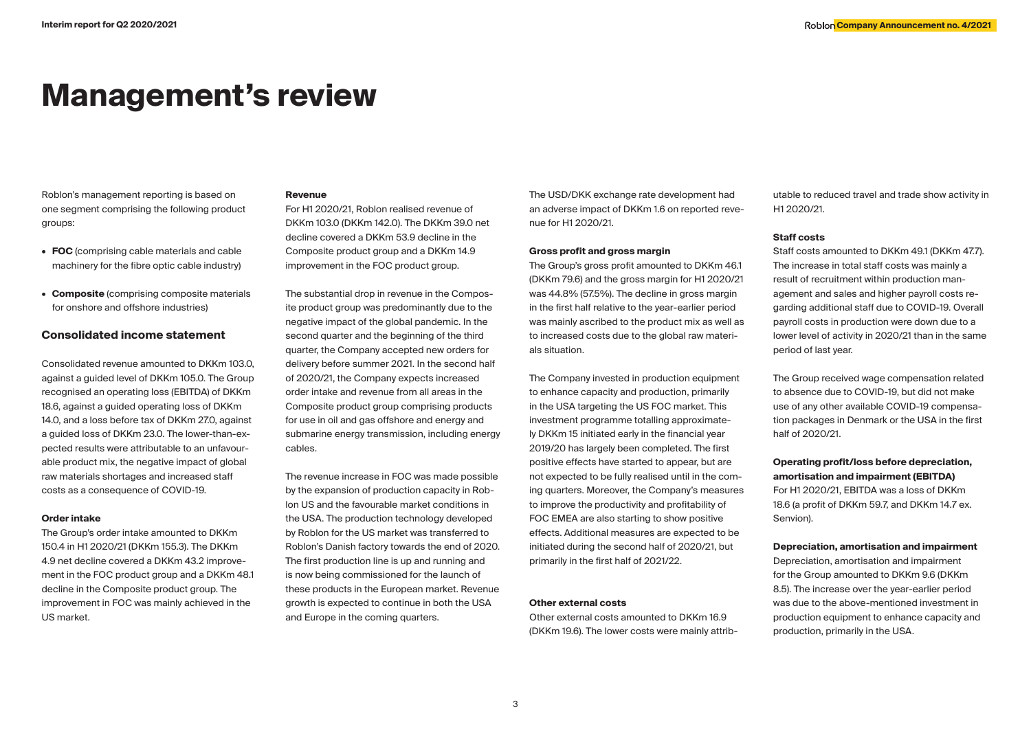## **Management's review**

Roblon's management reporting is based on one segment comprising the following product groups:

- **• FOC** (comprising cable materials and cable machinery for the fibre optic cable industry)
- **• Composite** (comprising composite materials for onshore and offshore industries)

## **Consolidated income statement**

Consolidated revenue amounted to DKKm 103.0, against a guided level of DKKm 105.0. The Group recognised an operating loss (EBITDA) of DKKm 18.6, against a guided operating loss of DKKm 14.0, and a loss before tax of DKKm 27.0, against a guided loss of DKKm 23.0. The lower-than-expected results were attributable to an unfavourable product mix, the negative impact of global raw materials shortages and increased staff costs as a consequence of COVID-19.

#### **Order intake**

The Group's order intake amounted to DKKm 150.4 in H1 2020/21 (DKKm 155.3). The DKKm 4.9 net decline covered a DKKm 43.2 improvement in the FOC product group and a DKKm 48.1 decline in the Composite product group. The improvement in FOC was mainly achieved in the US market.

### **Revenue**

For H1 2020/21, Roblon realised revenue of DKKm 103.0 (DKKm 142.0). The DKKm 39.0 net decline covered a DKKm 53.9 decline in the Composite product group and a DKKm 14.9 improvement in the FOC product group.

The substantial drop in revenue in the Composite product group was predominantly due to the negative impact of the global pandemic. In the second quarter and the beginning of the third quarter, the Company accepted new orders for delivery before summer 2021. In the second half of 2020/21, the Company expects increased order intake and revenue from all areas in the Composite product group comprising products for use in oil and gas offshore and energy and submarine energy transmission, including energy cables.

The revenue increase in FOC was made possible by the expansion of production capacity in Roblon US and the favourable market conditions in the USA. The production technology developed by Roblon for the US market was transferred to Roblon's Danish factory towards the end of 2020. The first production line is up and running and is now being commissioned for the launch of these products in the European market. Revenue growth is expected to continue in both the USA and Europe in the coming quarters.

The USD/DKK exchange rate development had an adverse impact of DKKm 1.6 on reported revenue for H1 2020/21.

### **Gross profit and gross margin**

The Group's gross profit amounted to DKKm 46.1 (DKKm 79.6) and the gross margin for H1 2020/21 was 44.8% (57.5%). The decline in gross margin in the first half relative to the year-earlier period was mainly ascribed to the product mix as well as to increased costs due to the global raw materials situation.

The Company invested in production equipment to enhance capacity and production, primarily in the USA targeting the US FOC market. This investment programme totalling approximately DKKm 15 initiated early in the financial year 2019/20 has largely been completed. The first positive effects have started to appear, but are not expected to be fully realised until in the coming quarters. Moreover, the Company's measures to improve the productivity and profitability of FOC EMEA are also starting to show positive effects. Additional measures are expected to be initiated during the second half of 2020/21, but primarily in the first half of 2021/22.

#### **Other external costs**

Other external costs amounted to DKKm 16.9 (DKKm 19.6). The lower costs were mainly attributable to reduced travel and trade show activity in H1 2020/21.

## **Staff costs**

Staff costs amounted to DKKm 49.1 (DKKm 47.7). The increase in total staff costs was mainly a result of recruitment within production management and sales and higher payroll costs regarding additional staff due to COVID-19. Overall payroll costs in production were down due to a lower level of activity in 2020/21 than in the same period of last year.

The Group received wage compensation related to absence due to COVID-19, but did not make use of any other available COVID-19 compensation packages in Denmark or the USA in the first half of 2020/21.

**Operating profit/loss before depreciation, amortisation and impairment (EBITDA)**  For H1 2020/21, EBITDA was a loss of DKKm 18.6 (a profit of DKKm 59.7, and DKKm 14.7 ex. Senvion).

#### **Depreciation, amortisation and impairment**

Depreciation, amortisation and impairment for the Group amounted to DKKm 9.6 (DKKm 8.5). The increase over the year-earlier period was due to the above-mentioned investment in production equipment to enhance capacity and production, primarily in the USA.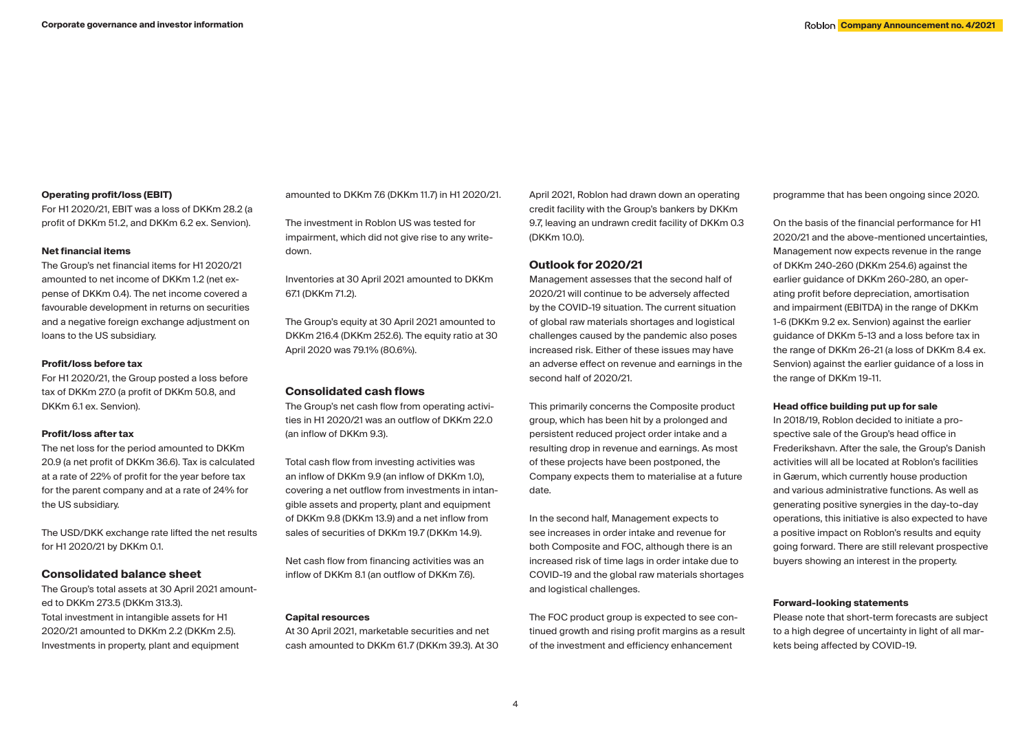## **Operating profit/loss (EBIT)**

For H1 2020/21, EBIT was a loss of DKKm 28.2 (a profit of DKKm 51.2, and DKKm 6.2 ex. Senvion).

## **Net financial items**

The Group's net financial items for H1 2020/21 amounted to net income of DKKm 1.2 (net expense of DKKm 0.4). The net income covered a favourable development in returns on securities and a negative foreign exchange adjustment on loans to the US subsidiary.

## **Profit/loss before tax**

For H1 2020/21, the Group posted a loss before tax of DKKm 27.0 (a profit of DKKm 50.8, and DKKm 6.1 ex. Senvion).

### **Profit/loss after tax**

The net loss for the period amounted to DKKm 20.9 (a net profit of DKKm 36.6). Tax is calculated at a rate of 22% of profit for the year before tax for the parent company and at a rate of 24% for the US subsidiary.

The USD/DKK exchange rate lifted the net results for H1 2020/21 by DKKm 0.1.

## **Consolidated balance sheet**

The Group's total assets at 30 April 2021 amounted to DKKm 273.5 (DKKm 313.3). Total investment in intangible assets for H1 2020/21 amounted to DKKm 2.2 (DKKm 2.5). Investments in property, plant and equipment

amounted to DKKm 7.6 (DKKm 11.7) in H1 2020/21.

The investment in Roblon US was tested for impairment, which did not give rise to any writedown.

Inventories at 30 April 2021 amounted to DKKm 67.1 (DKKm 71.2).

The Group's equity at 30 April 2021 amounted to DKKm 216.4 (DKKm 252.6). The equity ratio at 30 April 2020 was 79.1% (80.6%).

## **Consolidated cash flows**

The Group's net cash flow from operating activities in H1 2020/21 was an outflow of DKKm 22.0 (an inflow of DKKm 9.3).

Total cash flow from investing activities was an inflow of DKKm 9.9 (an inflow of DKKm 1.0), covering a net outflow from investments in intangible assets and property, plant and equipment of DKKm 9.8 (DKKm 13.9) and a net inflow from sales of securities of DKKm 19.7 (DKKm 14.9).

Net cash flow from financing activities was an inflow of DKKm 8.1 (an outflow of DKKm 7.6).

## **Capital resources**

At 30 April 2021, marketable securities and net cash amounted to DKKm 61.7 (DKKm 39.3). At 30 April 2021, Roblon had drawn down an operating credit facility with the Group's bankers by DKKm 9.7, leaving an undrawn credit facility of DKKm 0.3 (DKKm 10.0).

## **Outlook for 2020/21**

Management assesses that the second half of 2020/21 will continue to be adversely affected by the COVID-19 situation. The current situation of global raw materials shortages and logistical challenges caused by the pandemic also poses increased risk. Either of these issues may have an adverse effect on revenue and earnings in the second half of 2020/21.

This primarily concerns the Composite product group, which has been hit by a prolonged and persistent reduced project order intake and a resulting drop in revenue and earnings. As most of these projects have been postponed, the Company expects them to materialise at a future date.

In the second half, Management expects to see increases in order intake and revenue for both Composite and FOC, although there is an increased risk of time lags in order intake due to COVID-19 and the global raw materials shortages and logistical challenges.

The FOC product group is expected to see continued growth and rising profit margins as a result of the investment and efficiency enhancement

programme that has been ongoing since 2020.

On the basis of the financial performance for H1 2020/21 and the above-mentioned uncertainties, Management now expects revenue in the range of DKKm 240-260 (DKKm 254.6) against the earlier guidance of DKKm 260-280, an operating profit before depreciation, amortisation and impairment (EBITDA) in the range of DKKm 1-6 (DKKm 9.2 ex. Senvion) against the earlier guidance of DKKm 5-13 and a loss before tax in the range of DKKm 26-21 (a loss of DKKm 8.4 ex. Senvion) against the earlier guidance of a loss in the range of DKKm 19-11.

## **Head office building put up for sale**

In 2018/19, Roblon decided to initiate a prospective sale of the Group's head office in Frederikshavn. After the sale, the Group's Danish activities will all be located at Roblon's facilities in Gærum, which currently house production and various administrative functions. As well as generating positive synergies in the day-to-day operations, this initiative is also expected to have a positive impact on Roblon's results and equity going forward. There are still relevant prospective buyers showing an interest in the property.

### **Forward-looking statements**

Please note that short-term forecasts are subject to a high degree of uncertainty in light of all markets being affected by COVID-19.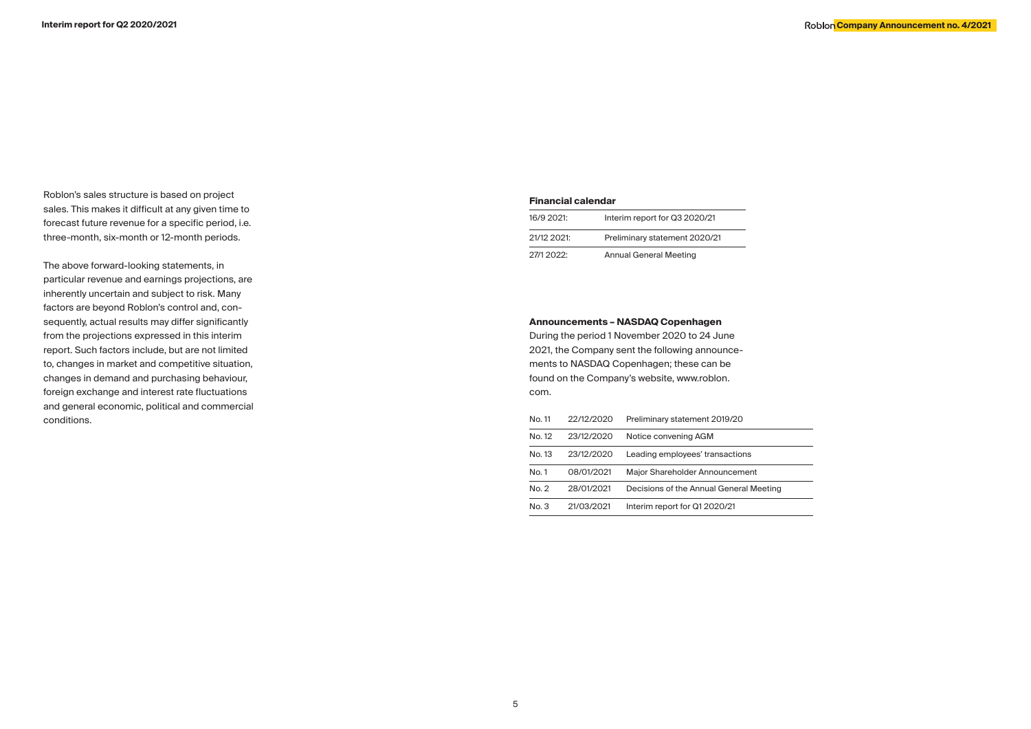Roblon's sales structure is based on project sales. This makes it difficult at any given time to forecast future revenue for a specific period, i.e. three-month, six-month or 12-month periods.

The above forward-looking statements, in particular revenue and earnings projections, are inherently uncertain and subject to risk. Many factors are beyond Roblon's control and, consequently, actual results may differ significantly from the projections expressed in this interim report. Such factors include, but are not limited to, changes in market and competitive situation, changes in demand and purchasing behaviour, foreign exchange and interest rate fluctuations and general economic, political and commercial conditions.

## **Financial calendar**

| 16/9 2021:  | Interim report for Q3 2020/21 |
|-------------|-------------------------------|
| 21/12 2021: | Preliminary statement 2020/21 |
| 27/12022    | <b>Annual General Meeting</b> |

## **Announcements – NASDAQ Copenhagen**

During the period 1 November 2020 to 24 June 2021, the Company sent the following announcements to NASDAQ Copenhagen; these can be found on the Company's website, www.roblon. com.

| No. 11 | 22/12/2020 | Preliminary statement 2019/20           |
|--------|------------|-----------------------------------------|
| No. 12 | 23/12/2020 | Notice convening AGM                    |
| No. 13 | 23/12/2020 | Leading employees' transactions         |
| No. 1  | 08/01/2021 | Maior Shareholder Announcement          |
| No. 2  | 28/01/2021 | Decisions of the Annual General Meeting |
| No. 3  | 21/03/2021 | Interim report for Q1 2020/21           |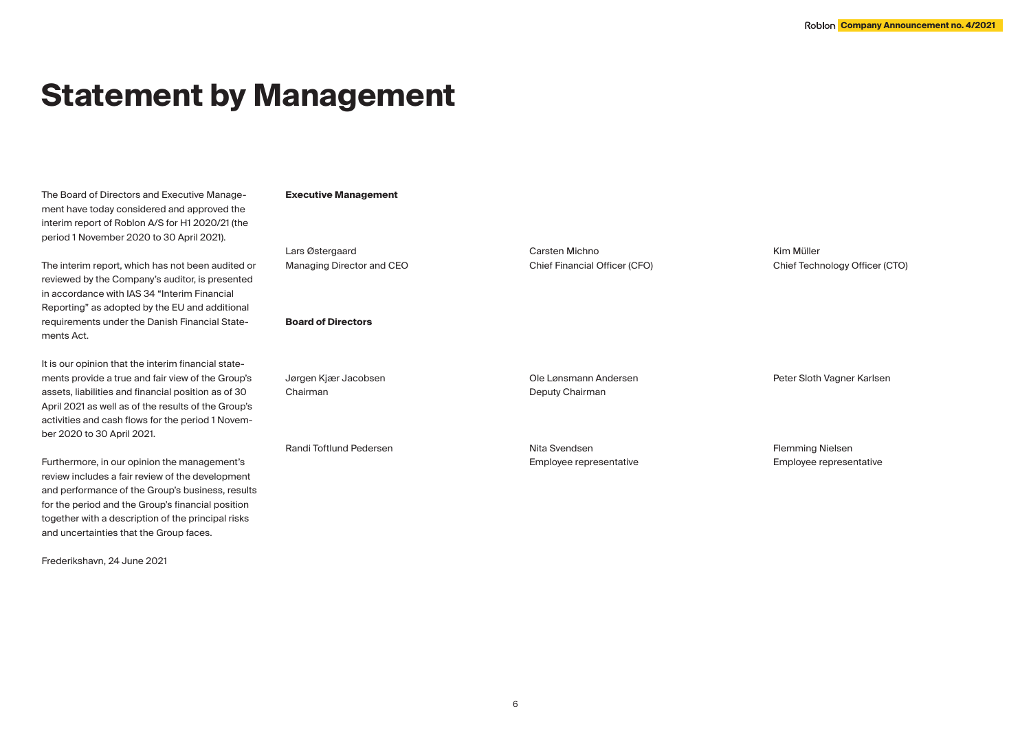## **Statement by Management**

The Board of Directors and Executive Management have today considered and approved the interim report of Roblon A/S for H1 2020/21 (the period 1 November 2020 to 30 April 2021).

The interim report, which has not been audited or reviewed by the Company's auditor, is presented in accordance with IAS 34 "Interim Financial Reporting" as adopted by the EU and additional requirements under the Danish Financial Statements Act.

It is our opinion that the interim financial statements provide a true and fair view of the Group's assets, liabilities and financial position as of 30 April 2021 as well as of the results of the Group's activities and cash flows for the period 1 November 2020 to 30 April 2021.

Furthermore, in our opinion the management's review includes a fair review of the development and performance of the Group's business, results for the period and the Group's financial position together with a description of the principal risks and uncertainties that the Group faces.

Frederikshavn, 24 June 2021

## **Executive Management**

Lars Østergaard Managing Director and CEO

## **Board of Directors**

Jørgen Kjær Jacobsen Chairman Ole Lønsmann Andersen Deputy Chairman

Randi Toftlund Pedersen

Nita Svendsen Employee representative

Carsten Michno

Chief Financial Officer (CFO)

Kim Müller Chief Technology Officer (CTO)

Flemming Nielsen

Peter Sloth Vagner Karlsen

Employee representative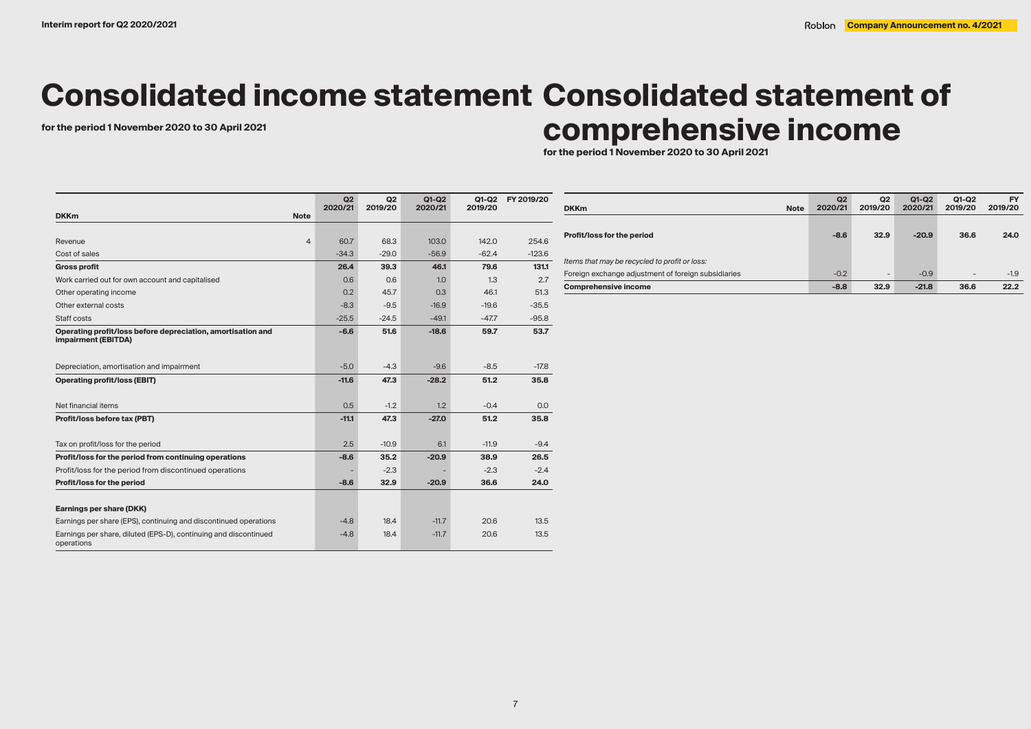# **Consolidated income statement Consolidated statement of**

# for the period 1 November 2020 to 30 April 2021<br> **COMPTE HENSIVE INCOME**

**for the period 1 November 2020 to 30 April 2021**

|                                                                                    | Q2      | Q2      | $Q1-Q2$ | Q1-Q2   | FY 2019/20 |
|------------------------------------------------------------------------------------|---------|---------|---------|---------|------------|
| <b>DKKm</b><br><b>Note</b>                                                         | 2020/21 | 2019/20 | 2020/21 | 2019/20 |            |
|                                                                                    |         |         |         |         |            |
| $\overline{4}$<br>Revenue                                                          | 60.7    | 68.3    | 103.0   | 142.0   | 254.6      |
| Cost of sales                                                                      | $-34.3$ | $-29.0$ | $-56.9$ | $-62.4$ | $-123.6$   |
| <b>Gross profit</b>                                                                | 26.4    | 39.3    | 46.1    | 79.6    | 131.1      |
| Work carried out for own account and capitalised                                   | 0.6     | 0.6     | 1.0     | 1.3     | 2.7        |
| Other operating income                                                             | 0.2     | 45.7    | 0.3     | 46.1    | 51.3       |
| Other external costs                                                               | $-8.3$  | $-9.5$  | $-16.9$ | $-19.6$ | $-35.5$    |
| Staff costs                                                                        | $-25.5$ | $-24.5$ | $-49.1$ | $-47.7$ | $-95.8$    |
| Operating profit/loss before depreciation, amortisation and<br>impairment (EBITDA) | $-6.6$  | 51.6    | $-18.6$ | 59.7    | 53.7       |
| Depreciation, amortisation and impairment                                          | $-5.0$  | $-4.3$  | $-9.6$  | $-8.5$  | $-17.8$    |
| <b>Operating profit/loss (EBIT)</b>                                                | $-11.6$ | 47.3    | $-28.2$ | 51.2    | 35.8       |
| Net financial items                                                                | 0.5     | $-1.2$  | 1.2     | $-0.4$  | 0.0        |
| Profit/loss before tax (PBT)                                                       | $-11.1$ | 47.3    | $-27.0$ | 51.2    | 35.8       |
| Tax on profit/loss for the period                                                  | 2.5     | $-10.9$ | 6.1     | $-11.9$ | $-9.4$     |
| Profit/loss for the period from continuing operations                              | $-8.6$  | 35.2    | $-20.9$ | 38.9    | 26.5       |
| Profit/loss for the period from discontinued operations                            |         | $-2.3$  |         | $-2.3$  | $-2.4$     |
| Profit/loss for the period                                                         | $-8.6$  | 32.9    | $-20.9$ | 36.6    | 24.0       |
| Earnings per share (DKK)                                                           |         |         |         |         |            |
| Earnings per share (EPS), continuing and discontinued operations                   | $-4.8$  | 18.4    | $-11.7$ | 20.6    | 13.5       |
| Earnings per share, diluted (EPS-D), continuing and discontinued<br>operations     | $-4.8$  | 18.4    | $-11.7$ | 20.6    | 13.5       |

| <b>Note</b><br><b>DKKm</b>                          | Q2<br>2020/21 | Q <sub>2</sub><br>2019/20 | $Q1-Q2$<br>2020/21 | Q1-Q2<br>2019/20         | <b>FY</b><br>2019/20 |
|-----------------------------------------------------|---------------|---------------------------|--------------------|--------------------------|----------------------|
| Profit/loss for the period                          | $-8.6$        | 32.9                      | $-20.9$            | 36.6                     | 24.0                 |
| Items that may be recycled to profit or loss:       |               |                           |                    |                          |                      |
| Foreign exchange adjustment of foreign subsidiaries | $-0.2$        | $\overline{\phantom{a}}$  | $-0.9$             | $\overline{\phantom{0}}$ | $-1.9$               |
| <b>Comprehensive income</b>                         | $-8.8$        | 32.9                      | $-21.8$            | 36.6                     | 22.2                 |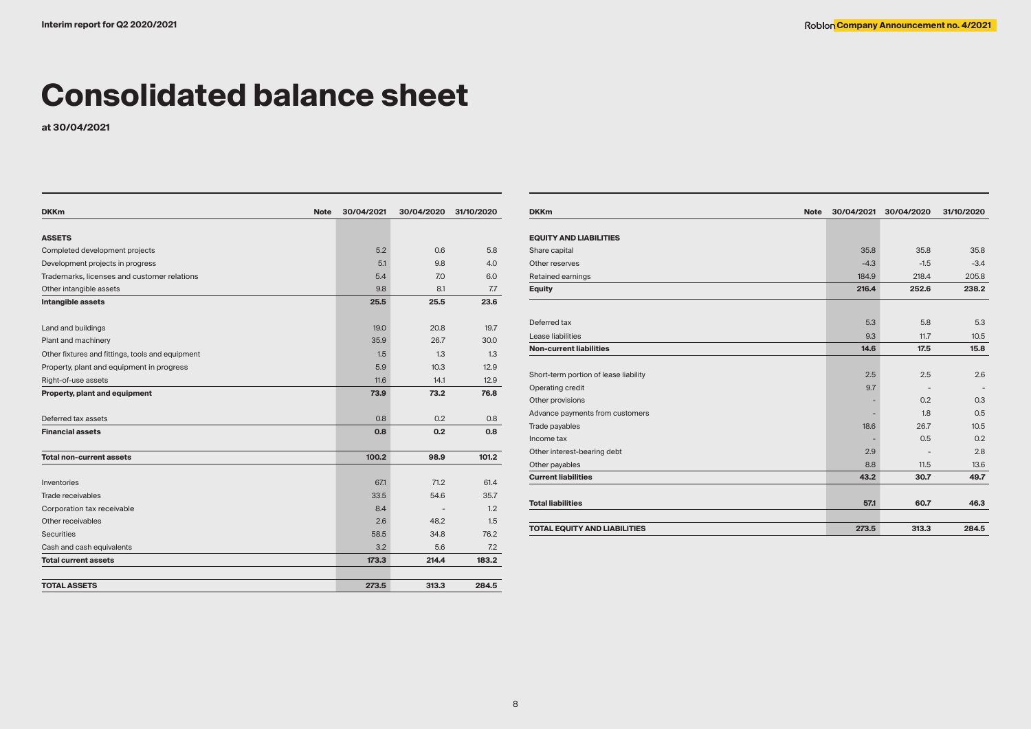## **Consolidated balance sheet**

**at 30/04/2021**

| <b>DKKm</b><br><b>Note</b>                       | 30/04/2021 | 30/04/2020 | 31/10/2020 |
|--------------------------------------------------|------------|------------|------------|
|                                                  |            |            |            |
| <b>ASSETS</b>                                    |            |            | 5.8        |
| Completed development projects                   | 5.2        | 0.6        |            |
| Development projects in progress                 | 5.1        | 9.8        | 4.0        |
| Trademarks, licenses and customer relations      | 5.4        | 7.0        | 6.0        |
| Other intangible assets                          | 9.8        | 8.1        | 7.7        |
| Intangible assets                                | 25.5       | 25.5       | 23.6       |
| Land and buildings                               | 19.0       | 20.8       | 19.7       |
| Plant and machinery                              | 35.9       | 26.7       | 30.0       |
| Other fixtures and fittings, tools and equipment | 1.5        | 1.3        | 1.3        |
| Property, plant and equipment in progress        | 5.9        | 10.3       | 12.9       |
| Right-of-use assets                              | 11.6       | 14.1       | 12.9       |
| Property, plant and equipment                    | 73.9       | 73.2       | 76.8       |
| Deferred tax assets                              | 0.8        | 0.2        | 0.8        |
| <b>Financial assets</b>                          | 0.8        | 0.2        | 0.8        |
| <b>Total non-current assets</b>                  | 100.2      | 98.9       | 101.2      |
|                                                  |            |            |            |
| Inventories                                      | 67.1       | 71.2       | 61.4       |
| Trade receivables                                | 33.5       | 54.6       | 35.7       |
| Corporation tax receivable                       | 8.4        |            | 1.2        |
| Other receivables                                | 2.6        | 48.2       | 1.5        |
| <b>Securities</b>                                | 58.5       | 34.8       | 76.2       |
| Cash and cash equivalents                        | 3.2        | 5.6        | 7.2        |
| <b>Total current assets</b>                      | 173.3      | 214.4      | 183.2      |
| <b>TOTAL ASSETS</b>                              | 273.5      | 313.3      | 284.5      |
|                                                  |            |            |            |

| <b>DKKm</b><br><b>Note</b>            | 30/04/2021 | 30/04/2020 | 31/10/2020 |
|---------------------------------------|------------|------------|------------|
|                                       |            |            |            |
| <b>EQUITY AND LIABILITIES</b>         |            |            |            |
| Share capital                         | 35.8       | 35.8       | 35.8       |
| Other reserves                        | $-4.3$     | $-1.5$     | $-3.4$     |
| Retained earnings                     | 184.9      | 218.4      | 205.8      |
| <b>Equity</b>                         | 216.4      | 252.6      | 238.2      |
|                                       |            |            |            |
| Deferred tax                          | 5.3        | 5.8        | 5.3        |
| Lease liabilities                     | 9.3        | 11.7       | 10.5       |
| <b>Non-current liabilities</b>        | 14.6       | 17.5       | 15.8       |
|                                       |            |            |            |
| Short-term portion of lease liability | 2.5        | 2.5        | 2.6        |
| Operating credit                      | 9.7        |            |            |
| Other provisions                      |            | 0.2        | 0.3        |
| Advance payments from customers       |            | 1.8        | 0.5        |
| Trade payables                        | 18.6       | 26.7       | 10.5       |
| Income tax                            |            | 0.5        | 0.2        |
| Other interest-bearing debt           | 2.9        |            | 2.8        |
| Other payables                        | 8.8        | 11.5       | 13.6       |
| <b>Current liabilities</b>            | 43.2       | 30.7       | 49.7       |
|                                       |            |            |            |
| <b>Total liabilities</b>              | 57.1       | 60.7       | 46.3       |
| <b>TOTAL EQUITY AND LIABILITIES</b>   | 273.5      | 313.3      | 284.5      |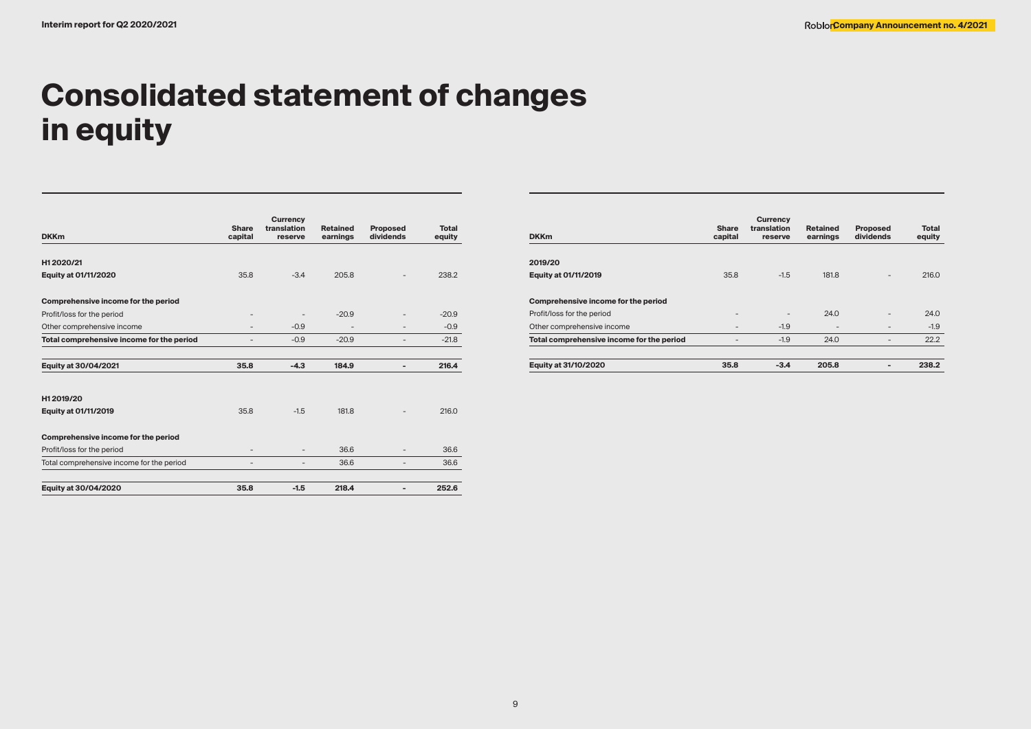# **Consolidated statement of changes in equity**

| <b>DKKm</b>                               | <b>Share</b><br>capital  | <b>Currency</b><br>translation<br>reserve | <b>Retained</b><br>earnings | <b>Proposed</b><br>dividends | <b>Total</b><br>equity |
|-------------------------------------------|--------------------------|-------------------------------------------|-----------------------------|------------------------------|------------------------|
| H12020/21                                 |                          |                                           |                             |                              |                        |
| Equity at 01/11/2020                      | 35.8                     | $-3.4$                                    | 205.8                       |                              | 238.2                  |
| Comprehensive income for the period       |                          |                                           |                             |                              |                        |
| Profit/loss for the period                |                          |                                           | $-20.9$                     |                              | $-20.9$                |
| Other comprehensive income                | $\overline{\phantom{a}}$ | $-0.9$                                    | ٠                           |                              | $-0.9$                 |
| Total comprehensive income for the period |                          | $-0.9$                                    | $-20.9$                     |                              | $-21.8$                |
| Equity at 30/04/2021                      | 35.8                     | $-4.3$                                    | 184.9                       |                              | 216.4                  |
| H12019/20                                 |                          |                                           |                             |                              |                        |
| <b>Equity at 01/11/2019</b>               | 35.8                     | $-1.5$                                    | 181.8                       |                              | 216.0                  |
| Comprehensive income for the period       |                          |                                           |                             |                              |                        |
| Profit/loss for the period                |                          | $\qquad \qquad -$                         | 36.6                        |                              | 36.6                   |
| Total comprehensive income for the period | ٠                        | $\overline{\phantom{a}}$                  | 36.6                        | -                            | 36.6                   |
| Equity at 30/04/2020                      | 35.8                     | $-1.5$                                    | 218.4                       |                              | 252.6                  |

| <b>DKKm</b>                               | <b>Share</b><br>capital | <b>Currency</b><br>translation<br>reserve | <b>Retained</b><br>earnings | <b>Proposed</b><br>dividends | Total<br>equity |
|-------------------------------------------|-------------------------|-------------------------------------------|-----------------------------|------------------------------|-----------------|
| 2019/20                                   |                         |                                           |                             |                              |                 |
| <b>Equity at 01/11/2019</b>               | 35.8                    | $-1.5$                                    | 181.8                       | $\overline{\phantom{0}}$     | 216.0           |
| Comprehensive income for the period       |                         |                                           |                             |                              |                 |
| Profit/loss for the period                |                         | ۰                                         | 24.0                        | -                            | 24.0            |
| Other comprehensive income                |                         | $-1.9$                                    |                             |                              | $-1.9$          |
| Total comprehensive income for the period |                         | $-1.9$                                    | 24.0                        | -                            | 22.2            |
| Equity at 31/10/2020                      | 35.8                    | $-3.4$                                    | 205.8                       | $\blacksquare$               | 238.2           |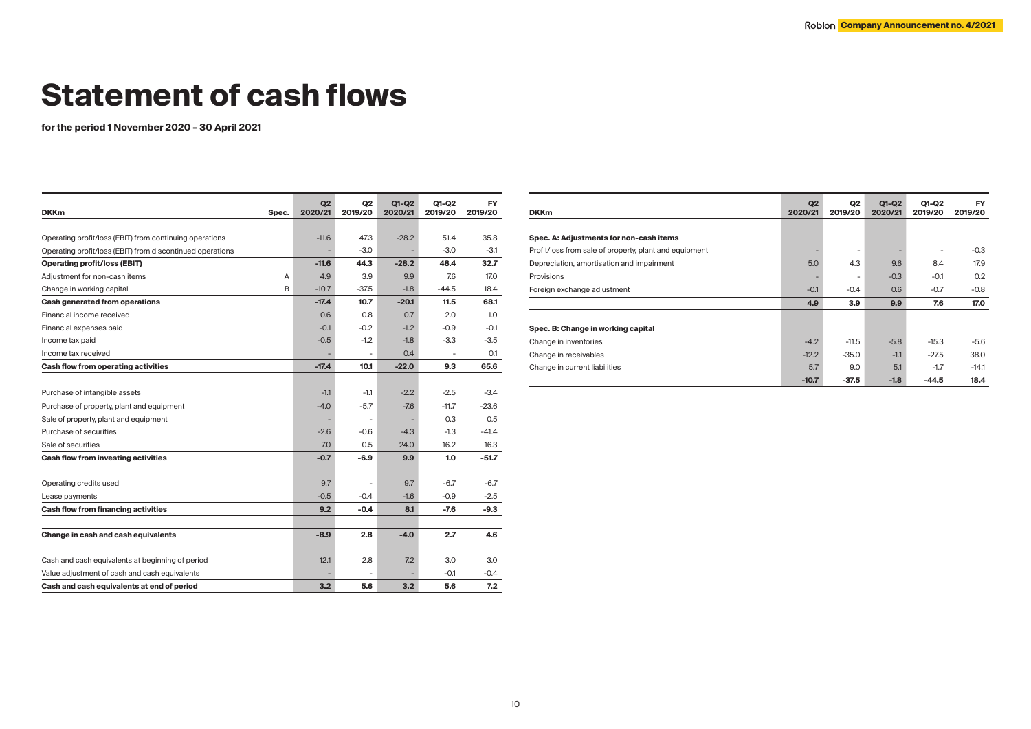# **Statement of cash flows**

**for the period 1 November 2020 – 30 April 2021**

| <b>DKKm</b><br>Spec.                                      | Q2<br>2020/21 | Q <sub>2</sub><br>2019/20 | $Q1-Q2$<br>2020/21 | Q1-Q2<br>2019/20 | <b>FY</b><br>2019/20 |
|-----------------------------------------------------------|---------------|---------------------------|--------------------|------------------|----------------------|
|                                                           |               |                           |                    |                  |                      |
| Operating profit/loss (EBIT) from continuing operations   | $-11.6$       | 47.3                      | $-28.2$            | 51.4             | 35.8                 |
| Operating profit/loss (EBIT) from discontinued operations |               | $-3.0$                    |                    | $-3.0$           | $-3.1$               |
| <b>Operating profit/loss (EBIT)</b>                       | $-11.6$       | 44.3                      | $-28.2$            | 48.4             | 32.7                 |
| Adjustment for non-cash items<br>A                        | 4.9           | 3.9                       | 9.9                | 7.6              | 17.0                 |
| B<br>Change in working capital                            | $-10.7$       | $-37.5$                   | $-1.8$             | $-44.5$          | 18.4                 |
| Cash generated from operations                            | $-17.4$       | 10.7                      | $-20.1$            | 11.5             | 68.1                 |
| Financial income received                                 | 0.6           | 0.8                       | 0.7                | 2.0              | 1.0                  |
| Financial expenses paid                                   | $-0.1$        | $-0.2$                    | $-1.2$             | $-0.9$           | $-0.1$               |
| Income tax paid                                           | $-0.5$        | $-1.2$                    | $-1.8$             | $-3.3$           | -3.5                 |
| Income tax received                                       |               | $\overline{\phantom{a}}$  | 0.4                |                  | 0.1                  |
| Cash flow from operating activities                       | $-17.4$       | 10.1                      | $-22.0$            | 9.3              | 65.6                 |
|                                                           |               |                           |                    |                  |                      |
| Purchase of intangible assets                             | $-1.1$        | $-1.1$                    | $-2.2$             | $-2.5$           | $-3.4$               |
| Purchase of property, plant and equipment                 | $-4.0$        | $-5.7$                    | $-7.6$             | $-11.7$          | $-23.6$              |
| Sale of property, plant and equipment                     |               | $\overline{\phantom{a}}$  | ÷                  | 0.3              | 0.5                  |
| Purchase of securities                                    | $-2.6$        | $-0.6$                    | $-4.3$             | $-1.3$           | $-41.4$              |
| Sale of securities                                        | 7.0           | 0.5                       | 24.0               | 16.2             | 16.3                 |
| Cash flow from investing activities                       | $-0.7$        | $-6.9$                    | 9.9                | 1.0              | $-51.7$              |
|                                                           |               |                           |                    |                  |                      |
| Operating credits used                                    | 9.7           |                           | 9.7                | $-6.7$           | $-6.7$               |
| Lease payments                                            | $-0.5$        | $-0.4$                    | $-1.6$             | $-0.9$           | $-2.5$               |
| Cash flow from financing activities                       | 9.2           | -0.4                      | 8.1                | -7.6             | -9.3                 |
|                                                           |               |                           |                    |                  |                      |
| Change in cash and cash equivalents                       | $-8.9$        | 2.8                       | $-4.0$             | 2.7              | 4.6                  |
|                                                           |               |                           |                    |                  |                      |
| Cash and cash equivalents at beginning of period          | 12.1          | 2.8                       | 7.2                | 3.0              | 3.0                  |
| Value adjustment of cash and cash equivalents             |               |                           |                    | $-0.1$           | -0.4                 |
| Cash and cash equivalents at end of period                | 3.2           | 5.6                       | 3.2                | 5.6              | 7.2                  |

| <b>DKKm</b>                                            | Q2<br>2020/21 | Q2<br>2019/20            | Q1-Q2<br>2020/21 | Q1-Q2<br>2019/20 | <b>FY</b><br>2019/20 |
|--------------------------------------------------------|---------------|--------------------------|------------------|------------------|----------------------|
|                                                        |               |                          |                  |                  |                      |
| Spec. A: Adjustments for non-cash items                |               |                          |                  |                  |                      |
| Profit/loss from sale of property, plant and equipment |               | $\overline{\phantom{0}}$ |                  |                  | $-0.3$               |
| Depreciation, amortisation and impairment              | 5.0           | 4.3                      | 9.6              | 8.4              | 17.9                 |
| Provisions                                             | ۰             | $\overline{\phantom{0}}$ | $-0.3$           | $-0.1$           | 0.2                  |
| Foreign exchange adjustment                            | $-0.1$        | $-0.4$                   | 0.6              | $-0.7$           | $-0.8$               |
|                                                        | 4.9           | 3.9                      | 9.9              | 7.6              | 17.0                 |
| Spec. B: Change in working capital                     |               |                          |                  |                  |                      |
| Change in inventories                                  | $-4.2$        | $-11.5$                  | $-5.8$           | $-15.3$          | $-5.6$               |
| Change in receivables                                  | $-12.2$       | $-35.0$                  | $-1.1$           | $-27.5$          | 38.0                 |
| Change in current liabilities                          | 5.7           | 9.0                      | 5.1              | $-1.7$           | $-14.1$              |
|                                                        | $-10.7$       | $-37.5$                  | $-1.8$           | $-44.5$          | 18.4                 |